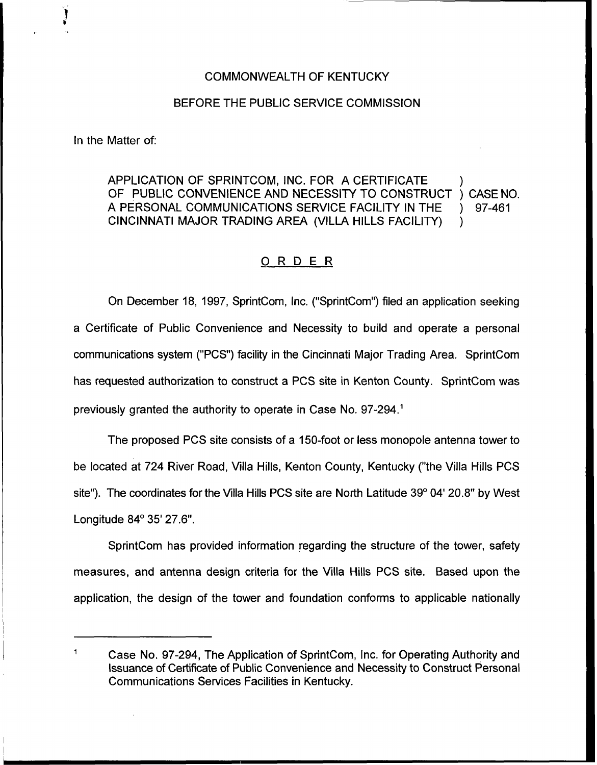#### COMMONWEALTH OF KENTUCKY

#### BEFORE THE PUBLIC SERVICE COMMISSION

In the Matter of:

# APPLICATION OF SPRINTCOM, INC. FOR A CERTIFICATE (ADDENICATE) (CASE NO.<br>OF PUBLIC CONVENIENCE AND NECESSITY TO CONSTRUCT ) CASE NO. OF PUBLIC CONVENIENCE AND NECESSITY TO CONSTRUCT ) CASE NO<br>A PERSONAL COMMUNICATIONS SERVICE FACILITY IN THE ) 97-461 A PERSONAL COMMUNICATIONS SERVICE FACILITY IN THE CINCINNATI MAJOR TRADING AREA (VILLA HILLS FACILITY) )

## 0 <sup>R</sup> <sup>D</sup> <sup>E</sup> <sup>R</sup>

On December 18, 1997, SprintCom, Inc. ("SprintCom") filed an application seeking a Certificate of Public Convenience and Necessity to build and operate a personal communications system ("PCS") facility in the Cincinnati Major Trading Area. SprintCom has requested authorization to construct a PCS site in Kenton County. SprintCom was previously granted the authority to operate in Case No. 97-294.<sup>1</sup>

The proposed PCS site consists of a 150-foot or less monopole antenna tower to be located at 724 River Road, Villa Hills, Kenton County, Kentucky ("the Villa Hills PCS site"). The coordinates for the Villa Hills PCS site are North Latitude 39° 04' 20.8" by West Longitude 84° 35' 27.6".

SprintCom has provided information regarding the structure of the tower, safety measures, and antenna design criteria for the Villa Hills PCS site. Based upon the application, the design of the tower and foundation conforms to applicable nationally

 $\mathbf{1}$ Case No. 97-294, The Application of SprintCom, Inc. for Operating Authority and Issuance of Certificate of Public Convenience and Necessity to Construct Personal Communications Services Facilities in Kentucky.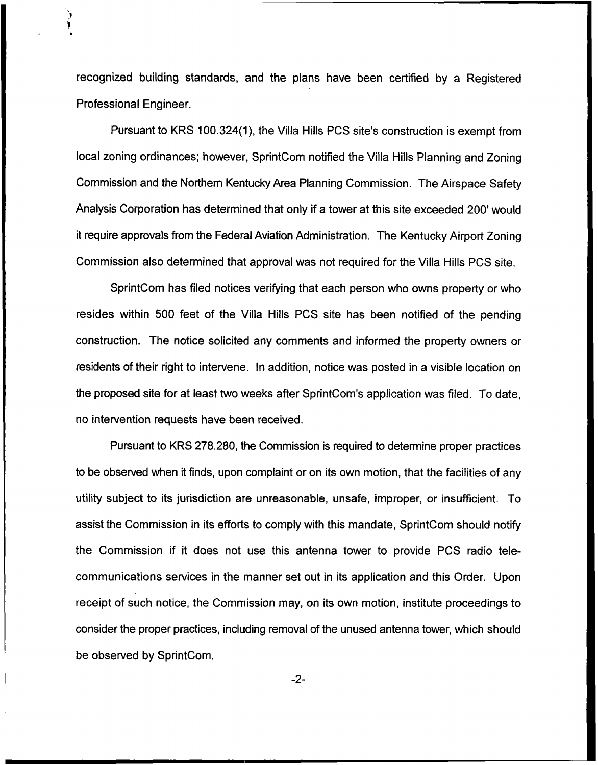recognized building standards, and the plans have been certified by a Registered Professional Engineer.

Pursuant to KRS 100.324(1), the Villa Hills PCS site's construction is exempt from local zoning ordinances; however, SprintCom notified the Villa Hills Planning and Zoning Commission and the Northern Kentucky Area Planning Commission. The Airspace Safety Analysis Corporation has determined that only if a tower at this site exceeded 200' would it require approvals from the Federal Aviation Administration. The Kentucky Airport Zoning Commission also determined that approval was not required for the Villa Hills PCS site.

SprintCom has filed notices verifying that each person who owns property or who resides within 500 feet of the Villa Hills PCS site has been notified of the pending construction. The notice solicited any comments and informed the property owners or residents of their right to intervene. In addition, notice was posted in a visible location on the proposed site for at least two weeks after SprintCom's application was filed. To date, no intervention requests have been received.

Pursuant to KRS 278.280, the Commission is required to determine proper practices to be observed when it finds, upon complaint or on its own motion, that the facilities of any utility subject to its jurisdiction are unreasonable, unsafe, improper, or insufficient. To assist the Commission in its efforts to comply with this mandate, SprintCom should notify the Commission if it does not use this antenna tower to provide PCS radio telecommunications services in the manner set out in its application and this Order. Upon receipt of such notice, the Commission may, on its own motion, institute proceedings to consider the proper practices, including removal of the unused antenna tower, which should be observed by SprintCom.

 $-2-$